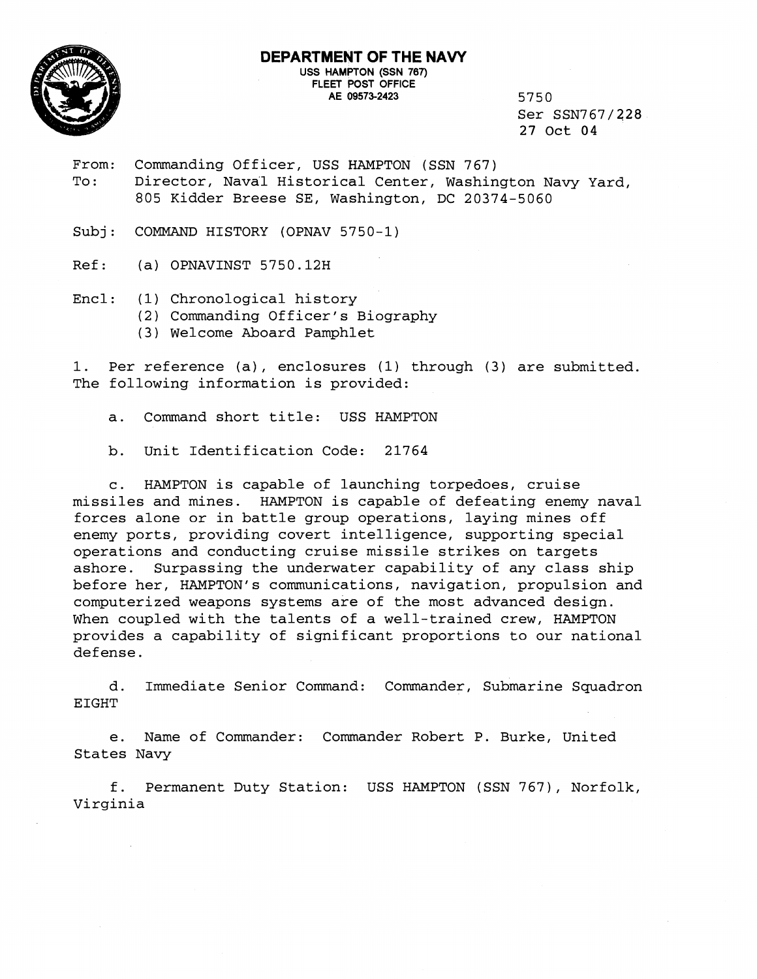

Ser SSN767/228 27 Oct 04

- From: Commanding Officer, USS HAMPTON (SSN 767) To: Director, Naval Historical Center, Washington Navy Yard, 805 Kidder Breese SE, Washington, DC 20374-5060
- Subj: COMMAND HISTORY (OPNAV 5750-1)
- Ref: (a) OPNAVINST 5750.12H
- Encl: (1) Chronological history
	- (2) Commanding Officer's Biography
	- (3) Welcome Aboard Pamphlet

1. Per reference (a), enclosures (1) through (3) are submitted. The following information is provided:

- a. Command short title: USS HAMPTON
- b. Unit Identification Code: 21764

c. HAMPTON is capable of launching torpedoes, cruise missiles and mines. HAMPTON is capable of defeating enemy naval forces alone or in battle group operations, laying mines off enemy ports, providing covert intelligence, supporting special operations and conducting cruise missile strikes on targets ashore. Surpassing the underwater capability of any class ship before her, HAMPTON's communications, navigation, propulsion and computerized weapons systems are of the most advanced design. When coupled with the talents of a well-trained crew, HAMPTON provides a capability of significant proportions to our national defense.

d. Immediate Senior Command: Commander, Submarine Squadron EIGHT

e. Name of Commander: Comander Robert P. Burke, United States Navy

f. Permanent Duty Station: USS HAMPTON (SSN 767), Norfolk, Virginia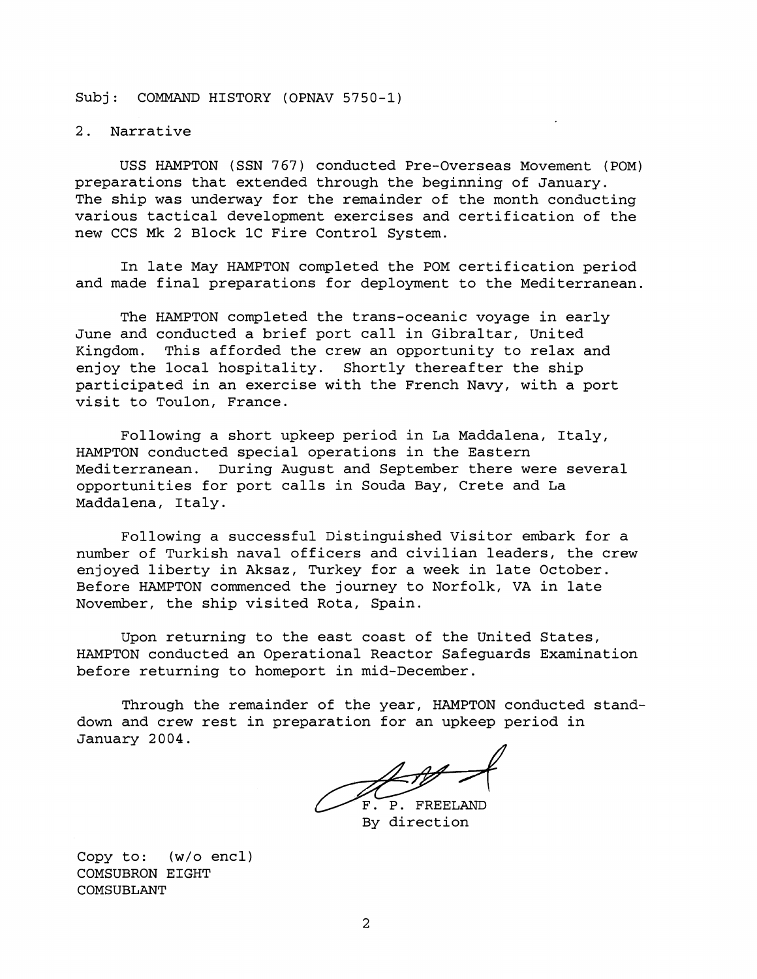Subj: COMMAND HISTORY (OPNAV 5750-1)

2. Narrative

USS HAMPTON (SSN 767) conducted Pre-Overseas Movement (POM) preparations that extended through the beginning of January. The ship was underway for the remainder of the month conducting various tactical development exercises and certification of the new CCS Mk 2 Block 1C Fire Control System.

In late May HAMPTON completed the POM certification period and made final preparations for deployment to the Mediterranean.

The HAMPTON completed the trans-oceanic voyage in early June and conducted a brief port call in Gibraltar, United Kingdom. This afforded the crew an opportunity to relax and enjoy the local hospitality. Shortly thereafter the ship participated in an exercise with the French Navy, with a port visit to Toulon, France.

Following a short upkeep period in La Maddalena, Italy, HAMPTON conducted special operations in the Eastern Mediterranean. During August and September there were several opportunities for port calls in Souda Bay, Crete and La Maddalena, Italy.

Following a successful Distinguished Visitor embark for a number of Turkish naval officers and civilian leaders, the crew enjoyed liberty in Aksaz, Turkey for a week in late October. Before HAMPTON commenced the journey to Norfolk, VA in late November, the ship visited Rota, Spain.

Upon returning to the east coast of the United States, HAMPTON conducted an Operational Reactor Safeguards Examination before returning to homeport in mid-December.

Through the remainder of the year, HAMPTON conducted standdown and crew rest in preparation for an upkeep period in January 2004.

P. FREELAND By direction

Copy to: (w/o encl) COMSUBRON EIGHT COMSUBLANT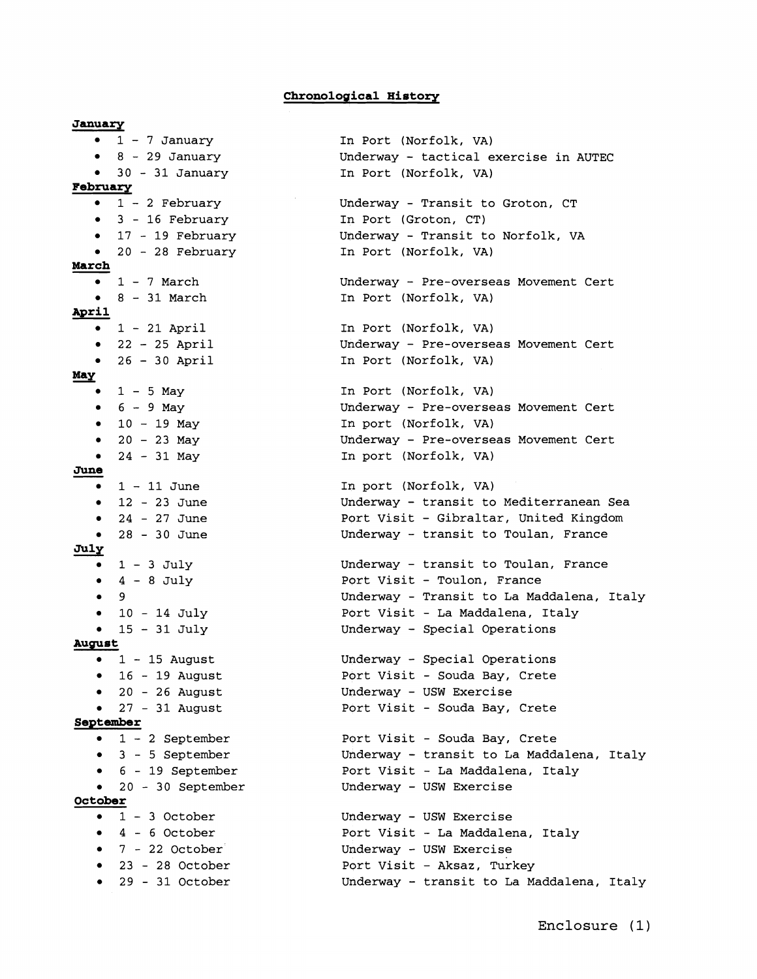## **Chronologlical History**

**January**   $1 - 7$  January  $8 - 29$  January 30 - 31 January **February**   $1 - 2$  February 3 - 16 February <sup>17</sup>- 19 February 20 - 28 February **March**   $\bullet$  1 - 7 March  $\bullet$  8 - 31 March **April**   $-1 - 21$  April  $\bullet$  22 - 25 April  $\bullet$  26 - 30 April **Way**   $-1-5$  May • 1 −<br>
• 6 −<br>
• 10<br>
• 24<br>
<u>June</u> 1 −  $6 - 9$  May  $- 10 - 19$  May •  $20 - 23$  May •  $24 - 31$  May  $\bullet$  1 - 11 June  $\bullet$  12 - 23 June  $• 24 - 27$  June 28 - 30 June July  $\bullet$  1 - 3 July  $\bullet$  4 - 8 July • 9  $\bullet$  10 - 14 July  $15 - 31$  July  $\bullet$ **August**   $\bullet$  1 - 15 August  $\bullet$  16 - 19 August  $\bullet$  20 - 26 August  $\bullet$  27 - 31 August **September**   $-1 - 2$  September <sup>3</sup>- 5 September 6 - 19 September 20 - 30 September **October**   $-1$  - 3 October  $-4-6$  October  $-7 - 22$  October 23 - 28 October  $-29 - 31$  October

In Port (Norfolk, VA) Underway - tactical exercise in AUTEC In Port (Norfolk, VA) Uhderway - Transit to Groton, CT In Port (Groton, CT) Underway - Transit to Norfolk, VA In Port (Norfolk, VA) Underway - Pre-overseas Movement Cert In Port (Norfolk, VA) In Port (Norfolk, VA) Underway - Pre-overseas Movement Cert In Port (Norfolk, VA) In Port (Norfolk, VA) Underway - Pre-overseas Movement Cert In port (Norfolk, VA) Underway - Pre-overseas Movement Cert In port (Norfolk, VA) **In** port (Norfolk, VA) Underway - transit to Mediterranean Sea Port Visit - Gibraltar, United Kingdom Underway - transit to Toulan, France Underway - transit to Toulan, France Port Visit - Toulon, France Underway - Transit to La Maddalena, Italy Port Visit - La Maddalena, Italy Underway - Special Operations Underway - Special Operations Port Visit - Souda Bay, Crete Underway - USW Exercise Port Visit - Souda Bay, Crete Port Visit - Souda Bay, Crete Underway - transit to La Maddalena, Italy Port Visit - La Maddalena, Italy Underway - USW Exercise Underway - USW Exercise Port Visit - La Maddalena, Italy Underway - USW Exercise Port Visit - Aksaz, Turkey Underway - transit to La Maddalena, Italy